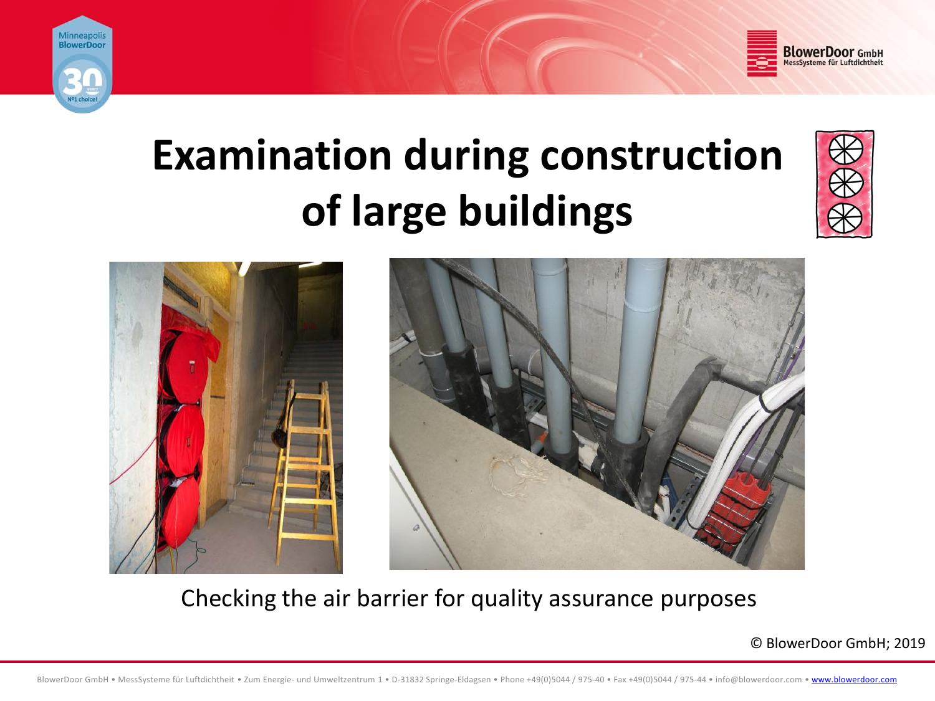



# **Examination during construction of large buildings**







Checking the air barrier for quality assurance purposes

© BlowerDoor GmbH; 2019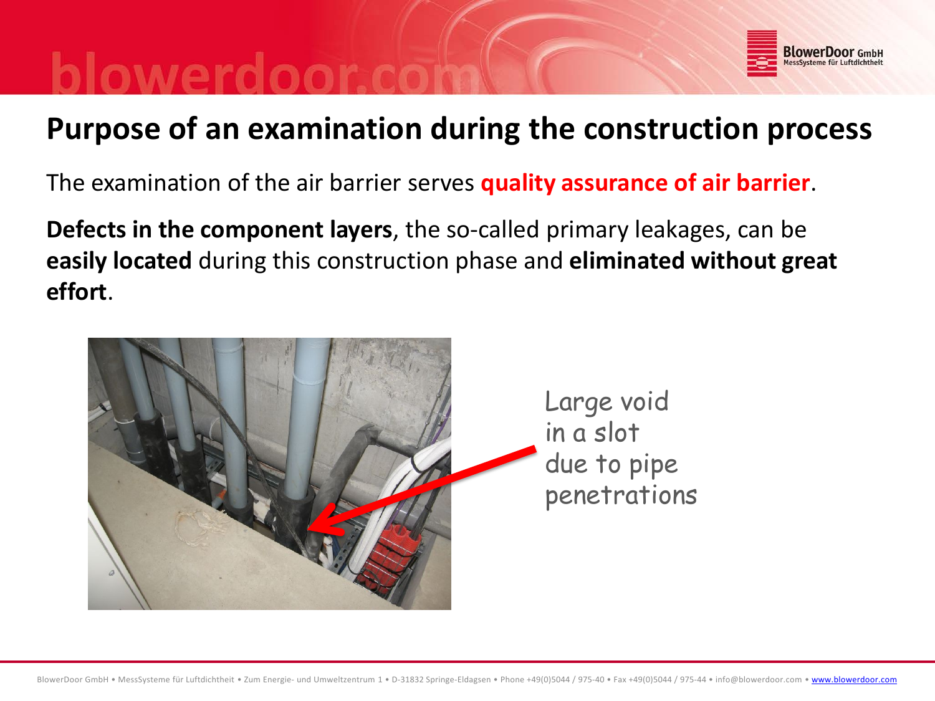

# **Purpose of an examination during the construction process**

The examination of the air barrier serves **quality assurance of air barrier**.

**Defects in the component layers**, the so-called primary leakages, can be **easily located** during this construction phase and **eliminated without great effort**.

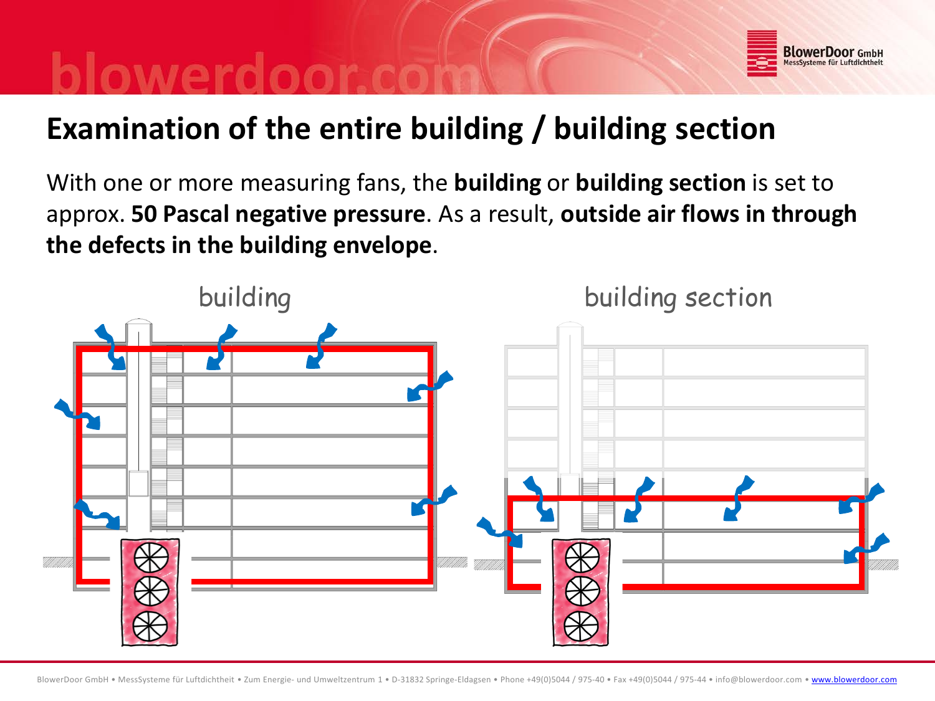# **BlowerDoor** GmbH

# **Examination of the entire building / building section**

With one or more measuring fans, the **building** or **building section** is set to approx. **50 Pascal negative pressure**. As a result, **outside air flows in through the defects in the building envelope**.

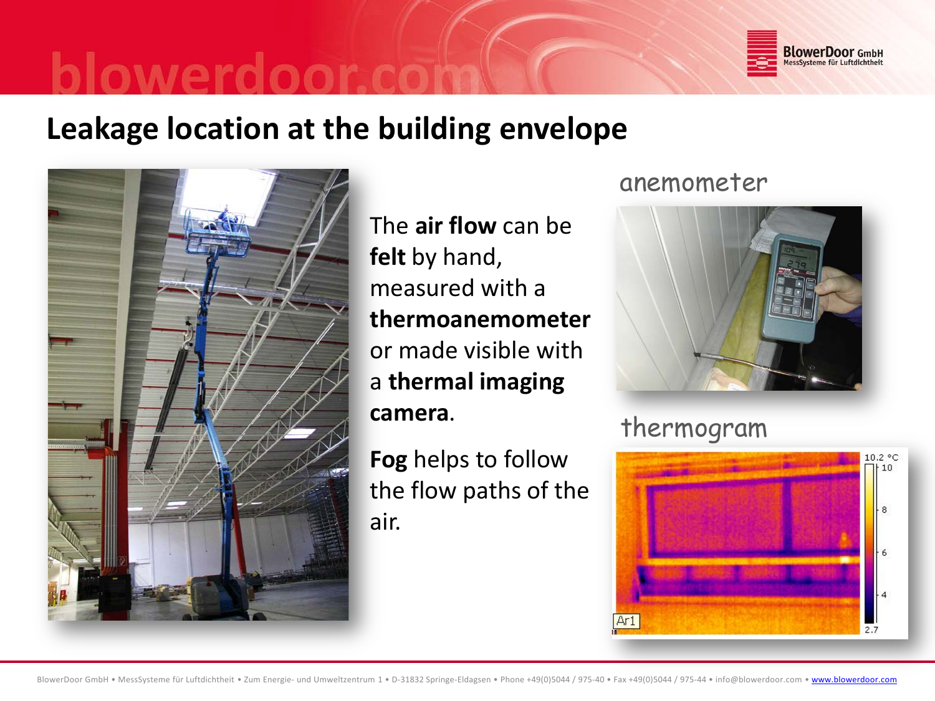

## **Leakage location at the building envelope**



The **air flow** can be **felt** by hand, measured with a **thermoanemometer** or made visible with a **thermal imaging camera**.

**Fog** helps to follow the flow paths of the air.

### anemometer



## thermogram

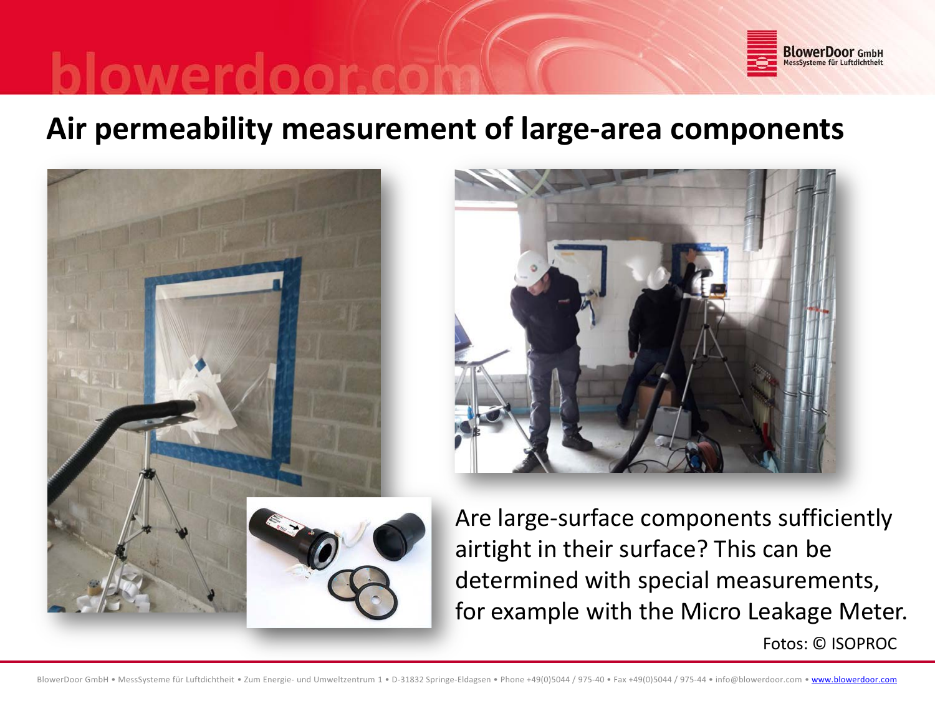

# **Air permeability measurement of large-area components**





Are large-surface components sufficiently airtight in their surface? This can be determined with special measurements, for example with the Micro Leakage Meter.

Fotos: © ISOPROC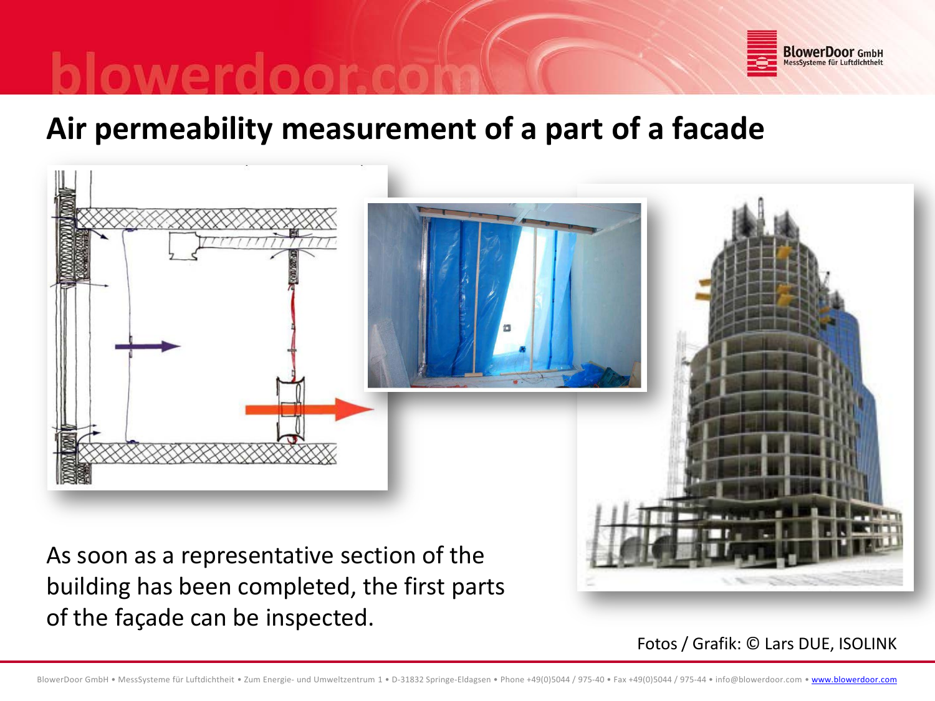

# **Air permeability measurement of a part of a facade**



building has been completed, the first parts of the façade can be inspected.

Fotos / Grafik: © Lars DUE, ISOLINK